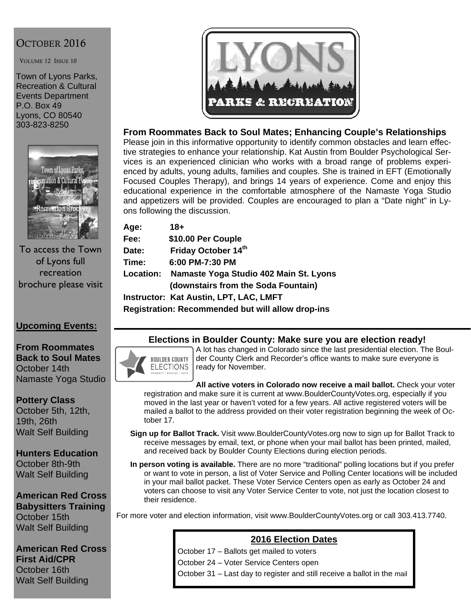# OCTOBER 2016

VOLUME 12 ISSUE 10

Town of Lyons Parks, Recreation & Cultural Events Department P.O. Box 49 Lyons, CO 80540 303-823-8250



To access the Town of Lyons full recreation brochure please visit

## **Upcoming Events:**

**From Roommates Back to Soul Mates**  October 14th Namaste Yoga Studio

**Pottery Class**  October 5th, 12th, 19th, 26th Walt Self Building

**Hunters Education**  October 8th-9th Walt Self Building

**American Red Cross Babysitters Training**  October 15th Walt Self Building

**American Red Cross First Aid/CPR**  October 16th Walt Self Building



#### **From Roommates Back to Soul Mates; Enhancing Couple's Relationships**

Please join in this informative opportunity to identify common obstacles and learn effective strategies to enhance your relationship. Kat Austin from Boulder Psychological Services is an experienced clinician who works with a broad range of problems experienced by adults, young adults, families and couples. She is trained in EFT (Emotionally Focused Couples Therapy), and brings 14 years of experience. Come and enjoy this educational experience in the comfortable atmosphere of the Namaste Yoga Studio and appetizers will be provided. Couples are encouraged to plan a "Date night" in Lyons following the discussion.

| Age:      | 18+                                    |
|-----------|----------------------------------------|
| Fee:      | \$10.00 Per Couple                     |
| Date:     | Friday October 14th                    |
| Time:     | 6:00 PM-7:30 PM                        |
| Location: | Namaste Yoga Studio 402 Main St. Lyons |
|           | (downstairs from the Soda Fountain)    |
|           | Instructor: Kat Austin, LPT, LAC, LMFT |

**Registration: Recommended but will allow drop-ins** 

#### **Elections in Boulder County: Make sure you are election ready!**

**BOULDER COUNTY ELECTIONS** 

A lot has changed in Colorado since the last presidential election. The Boulder County Clerk and Recorder's office wants to make sure everyone is ready for November.

**All active voters in Colorado now receive a mail ballot.** Check your voter registration and make sure it is current at www.BoulderCountyVotes.org, especially if you moved in the last year or haven't voted for a few years. All active registered voters will be mailed a ballot to the address provided on their voter registration beginning the week of October 17.

- **Sign up for Ballot Track.** Visit www.BoulderCountyVotes.org now to sign up for Ballot Track to receive messages by email, text, or phone when your mail ballot has been printed, mailed, and received back by Boulder County Elections during election periods.
- **In person voting is available.** There are no more "traditional" polling locations but if you prefer or want to vote in person, a list of Voter Service and Polling Center locations will be included in your mail ballot packet. These Voter Service Centers open as early as October 24 and voters can choose to visit any Voter Service Center to vote, not just the location closest to their residence.

For more voter and election information, visit www.BoulderCountyVotes.org or call 303.413.7740.

#### **2016 Election Dates**

October 17 – Ballots get mailed to voters October 24 – Voter Service Centers open October 31 – Last day to register and still receive a ballot in the mail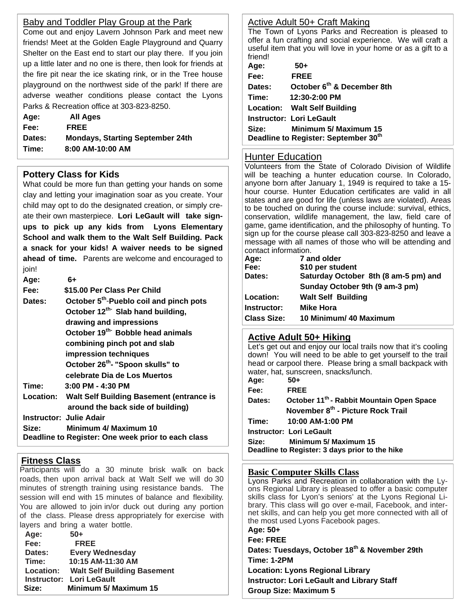#### Baby and Toddler Play Group at the Park

Come out and enjoy Lavern Johnson Park and meet new friends! Meet at the Golden Eagle Playground and Quarry Shelter on the East end to start our play there. If you join up a little later and no one is there, then look for friends at the fire pit near the ice skating rink, or in the Tree house playground on the northwest side of the park! If there are adverse weather conditions please contact the Lyons Parks & Recreation office at 303-823-8250.

| Age:   | All Ages                                |
|--------|-----------------------------------------|
| Fee:   | <b>FREE</b>                             |
| Dates: | <b>Mondays, Starting September 24th</b> |
| Time:  | 8:00 AM-10:00 AM                        |

## **Pottery Class for Kids**

What could be more fun than getting your hands on some clay and letting your imagination soar as you create. Your child may opt to do the designated creation, or simply create their own masterpiece. **Lori LeGault will take signups to pick up any kids from Lyons Elementary School and walk them to the Walt Self Building. Pack a snack for your kids! A waiver needs to be signed ahead of time.** Parents are welcome and encouraged to join!

| Age:   | 6+                                                  |
|--------|-----------------------------------------------------|
| Fee:   | \$15.00 Per Class Per Child                         |
| Dates: | October 5 <sup>th</sup> -Pueblo coil and pinch pots |
|        | October 12 <sup>th-</sup> Slab hand building,       |
|        | drawing and impressions                             |
|        | October 19 <sup>th-</sup> Bobble head animals       |
|        | combining pinch pot and slab                        |
|        | impression techniques                               |
|        | October 26 <sup>th</sup> - "Spoon skulls" to        |
|        | celebrate Dia de Los Muertos                        |
| Time:  | $3:00$ PM - 4:30 PM                                 |
|        | Location: Walt Self Building Basement (entrance is  |
|        | around the back side of building)                   |
|        | <b>Instructor: Julie Adair</b>                      |
| Size:  | Minimum 4/ Maximum 10                               |
|        | Deadline to Register: One week prior to each class  |

# **Fitness Class**

Participants will do a 30 minute brisk walk on back roads, then upon arrival back at Walt Self we will do 30 minutes of strength training using resistance bands. The session will end with 15 minutes of balance and flexibility. You are allowed to join in/or duck out during any portion of the class. Please dress appropriately for exercise with layers and bring a water bottle.

| Age:             | $50+$                              |
|------------------|------------------------------------|
| Fee:             | <b>FREE</b>                        |
| Dates:           | <b>Every Wednesday</b>             |
| Time:            | 10:15 AM-11:30 AM                  |
| <b>Location:</b> | <b>Walt Self Building Basement</b> |
|                  | <b>Instructor: Lori LeGault</b>    |
| Size:            | Minimum 5/ Maximum 15              |

## Active Adult 50+ Craft Making

The Town of Lyons Parks and Recreation is pleased to offer a fun crafting and social experience. We will craft a useful item that you will love in your home or as a gift to a friend!

| Age:   | 50+                                    |
|--------|----------------------------------------|
| Fee:   | <b>FREE</b>                            |
| Dates: | October 6 <sup>th</sup> & December 8th |
| Time:  | 12:30-2:00 PM                          |
|        | Location: Walt Self Building           |
|        | <b>Instructor: Lori LeGault</b>        |
| Size:  | <b>Minimum 5/ Maximum 15</b>           |
|        | Deadline to Register: September 30th   |
|        |                                        |

## Hunter Education

Volunteers from the State of Colorado Division of Wildlife will be teaching a hunter education course. In Colorado, anyone born after January 1, 1949 is required to take a 15 hour course. Hunter Education certificates are valid in all states and are good for life (unless laws are violated). Areas to be touched on during the course include: survival, ethics, conservation, wildlife management, the law, field care of game, game identification, and the philosophy of hunting. To sign up for the course please call 303-823-8250 and leave a message with all names of those who will be attending and contact information.

| Age:               | 7 and older                          |
|--------------------|--------------------------------------|
| Fee:               | \$10 per student                     |
| Dates:             | Saturday October 8th (8 am-5 pm) and |
|                    | Sunday October 9th (9 am-3 pm)       |
| Location:          | <b>Walt Self Building</b>            |
| Instructor:        | <b>Mike Hora</b>                     |
| <b>Class Size:</b> | 10 Minimum/ 40 Maximum               |
|                    |                                      |

## **Active Adult 50+ Hiking**

Let's get out and enjoy our local trails now that it's cooling down! You will need to be able to get yourself to the trail head or carpool there. Please bring a small backpack with water, hat, sunscreen, snacks/lunch.

| Age:       | 50+                                                   |
|------------|-------------------------------------------------------|
| Fee:       | <b>FRFF</b>                                           |
| Dates:     | October 11 <sup>th</sup> - Rabbit Mountain Open Space |
|            | November 8th - Picture Rock Trail                     |
| Time: Time | 10:00 AM-1:00 PM                                      |
|            | <b>Instructor: Lori LeGault</b>                       |
| Size:      | Minimum 5/ Maximum 15                                 |
|            | Deadline to Register: 3 days prior to the hike        |
|            |                                                       |

## **Basic Computer Skills Class**

Lyons Parks and Recreation in collaboration with the Lyons Regional Library is pleased to offer a basic computer skills class for Lyon's seniors' at the Lyons Regional Library. This class will go over e-mail, Facebook, and internet skills, and can help you get more connected with all of the most used Lyons Facebook pages. **Age: 50+** 

**Fee: FREE Dates: Tuesdays, October 18th & November 29th Time: 1-2PM Location: Lyons Regional Library Instructor: Lori LeGault and Library Staff Group Size: Maximum 5**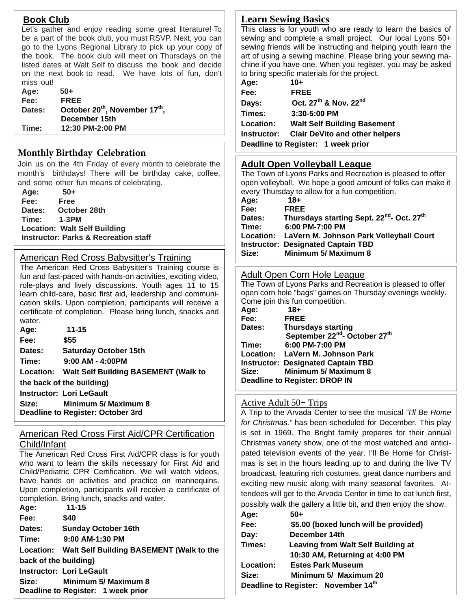#### **Book Club**

Let's gather and enjoy reading some great literature! To be a part of the book club, you must RSVP. Next, you can go to the Lyons Regional Library to pick up your copy of the book. The book club will meet on Thursdays on the listed dates at Walt Self to discuss the book and decide on the next book to read. We have lots of fun, don't miss out!

| Age:   | $50+$                                                  |
|--------|--------------------------------------------------------|
| Fee:   | <b>FREE</b>                                            |
| Dates: | October 20 <sup>th</sup> , November 17 <sup>th</sup> , |
|        | December 15th                                          |
| Time:  | 12:30 PM-2:00 PM                                       |
|        |                                                        |

#### **Monthly Birthday Celebration**

Join us on the 4th Friday of every month to celebrate the month's birthdays! There will be birthday cake, coffee, and some other fun means of celebrating.

 **Age: 50+ Fee: Free Dates: October 28th Time: 1-3PM Location: Walt Self Building Instructor: Parks & Recreation staff**

#### American Red Cross Babysitter's Training

The American Red Cross Babysitter's Training course is fun and fast-paced with hands-on activities, exciting video, role-plays and lively discussions. Youth ages 11 to 15 learn child-care, basic first aid, leadership and communication skills. Upon completion, participants will receive a certificate of completion. Please bring lunch, snacks and water.

| Age:   | $11 - 15$                                      |
|--------|------------------------------------------------|
| Fee:   | \$55                                           |
| Dates: | <b>Saturday October 15th</b>                   |
| Time:  | $9:00$ AM - 4:00PM                             |
|        | Location: Walt Self Building BASEMENT (Walk to |
|        | the back of the building)                      |
|        | <b>Instructor: Lori LeGault</b>                |
| Size:  | <b>Minimum 5/ Maximum 8</b>                    |
|        | Britannich Britannich Britannich and           |

**Deadline to Register: October 3rd** 

#### American Red Cross First Aid/CPR Certification Child/Infant

The American Red Cross First Aid/CPR class is for youth who want to learn the skills necessary for First Aid and Child/Pediatric CPR Certification. We will watch videos, have hands on activities and practice on mannequins. Upon completion, participants will receive a certificate of completion. Bring lunch, snacks and water.

| Age:                  | $11 - 15$                                          |
|-----------------------|----------------------------------------------------|
| Fee:                  | \$40                                               |
| <b>Dates:</b>         | <b>Sunday October 16th</b>                         |
| Time:                 | 9:00 AM-1:30 PM                                    |
|                       | Location: Walt Self Building BASEMENT (Walk to the |
| back of the building) |                                                    |
|                       | <b>Instructor: Lori LeGault</b>                    |
| Size:                 | Minimum 5/ Maximum 8                               |
|                       | Deadline to Register: 1 week prior                 |

# **Learn Sewing Basics**

This class is for youth who are ready to learn the basics of sewing and complete a small project. Our local Lyons 50+ sewing friends will be instructing and helping youth learn the art of using a sewing machine. Please bring your sewing machine if you have one. When you register, you may be asked to bring specific materials for the project.

| Age:             | $10+$                                         |
|------------------|-----------------------------------------------|
| Fee:             | <b>FREE</b>                                   |
| Days:            | Oct. 27 <sup>th</sup> & Nov. 22 <sup>nd</sup> |
| Times:           | 3:30-5:00 PM                                  |
| <b>Location:</b> | <b>Walt Self Building Basement</b>            |
| Instructor:      | <b>Clair DeVito and other helpers</b>         |
|                  | Deadline to Register: 1 week prior            |

## **Adult Open Volleyball League**

The Town of Lyons Parks and Recreation is pleased to offer open volleyball. We hope a good amount of folks can make it every Thursday to allow for a fun competition.

| Age:   | 18+                                                               |
|--------|-------------------------------------------------------------------|
| Fee:   | <b>FREE</b>                                                       |
| Dates: | Thursdays starting Sept. 22 <sup>nd</sup> - Oct. 27 <sup>th</sup> |
| Time:  | 6:00 PM-7:00 PM                                                   |
|        | Location: LaVern M. Johnson Park Volleyball Court                 |
|        | <b>Instructor: Designated Captain TBD</b>                         |
| Size:  | Minimum 5/ Maximum 8                                              |
|        |                                                                   |

#### Adult Open Corn Hole League

The Town of Lyons Parks and Recreation is pleased to offer open corn hole "bags" games on Thursday evenings weekly. Come join this fun competition.

| Age:   | $18+$                                                 |
|--------|-------------------------------------------------------|
| Fee:   | <b>FREE</b>                                           |
| Dates: | <b>Thursdays starting</b>                             |
|        | September 22 <sup>nd</sup> - October 27 <sup>th</sup> |
| Time:  | 6:00 PM-7:00 PM                                       |
|        | Location: LaVern M. Johnson Park                      |
|        | <b>Instructor: Designated Captain TBD</b>             |
| Size:  | Minimum 5/ Maximum 8                                  |
|        | Deadline to Register: DROP IN                         |
|        |                                                       |

#### Active Adult 50+ Trips

A Trip to the Arvada Center to see the musical *"I'll Be Home for Christmas."* has been scheduled for December. This play is set in 1969. The Bright family prepares for their annual Christmas variety show, one of the most watched and anticipated television events of the year. I'll Be Home for Christmas is set in the hours leading up to and during the live TV broadcast, featuring rich costumes, great dance numbers and exciting new music along with many seasonal favorites. Attendees will get to the Arvada Center in time to eat lunch first, possibly walk the gallery a little bit, and then enjoy the show. **Age:** 50

| age:             | 3U+                                             |
|------------------|-------------------------------------------------|
| Fee:             | \$5.00 (boxed lunch will be provided)           |
| Day:             | December 14th                                   |
| Times:           | <b>Leaving from Walt Self Building at</b>       |
|                  | 10:30 AM, Returning at 4:00 PM                  |
| <b>Location:</b> | <b>Estes Park Museum</b>                        |
| Size:            | Minimum 5/ Maximum 20                           |
|                  | Deadline to Register: November 14 <sup>th</sup> |
|                  |                                                 |